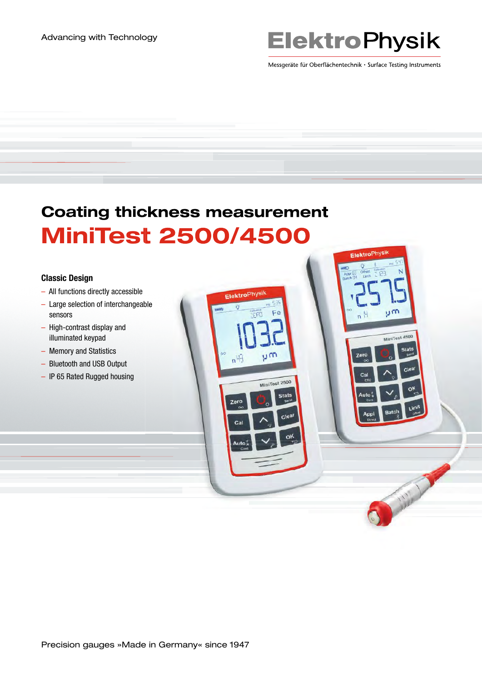# **ElektroPhysik**

Messgeräte für Oberflächentechnik · Surface Testing Instruments

ElektroPhy

**Zero** 

ழா

MiniTest 4500 stati

A Miller

# Coating thickness measurement MiniTest 2500/4500

ElektroPhysi

Zero

υm

MiniTest 2500 **Stats** 

C)

#### Classic Design

- All functions directly accessible
- Large selection of interchangeable sensors
- High-contrast display and illuminated keypad
- Memory and Statistics
- Bluetooth and USB Output
- IP 65 Rated Rugged housing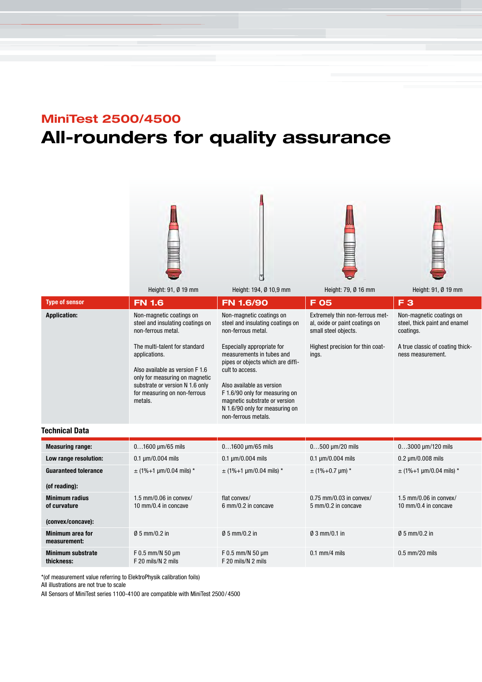### MiniTest 2500/4500

# All-rounders for quality assurance







|                             | Height: 91, Ø 19 mm                                                                                                                                                     | Height: 194, Ø 10,9 mm                                                                                                                                                                                | Height: 79, Ø 16 mm                                                                                                                    | Height: 91, Ø 19 mm                                                                                                             |
|-----------------------------|-------------------------------------------------------------------------------------------------------------------------------------------------------------------------|-------------------------------------------------------------------------------------------------------------------------------------------------------------------------------------------------------|----------------------------------------------------------------------------------------------------------------------------------------|---------------------------------------------------------------------------------------------------------------------------------|
| <b>Type of sensor</b>       | <b>FN 1.6</b>                                                                                                                                                           | FN 1.6/90                                                                                                                                                                                             | <b>F 05</b>                                                                                                                            | F <sub>3</sub>                                                                                                                  |
| <b>Application:</b>         | Non-magnetic coatings on<br>steel and insulating coatings on<br>non-ferrous metal.<br>The multi-talent for standard<br>applications.<br>Also available as version F 1.6 | Non-magnetic coatings on<br>steel and insulating coatings on<br>non-ferrous metal.<br>Especially appropriate for<br>measurements in tubes and<br>pipes or objects which are diffi-<br>cult to access. | Extremely thin non-ferrous met-<br>al, oxide or paint coatings on<br>small steel objects.<br>Highest precision for thin coat-<br>ings. | Non-magnetic coatings on<br>steel, thick paint and enamel<br>coatings.<br>A true classic of coating thick-<br>ness measurement. |
|                             | only for measuring on magnetic<br>substrate or version N 1.6 only<br>for measuring on non-ferrous<br>metals.                                                            | Also available as version<br>F 1.6/90 only for measuring on<br>magnetic substrate or version<br>N 1.6/90 only for measuring on<br>non-ferrous metals.                                                 |                                                                                                                                        |                                                                                                                                 |
| Technical Data              |                                                                                                                                                                         |                                                                                                                                                                                                       |                                                                                                                                        |                                                                                                                                 |
| <b>Measuring range:</b>     | $01600 \mu m/65$ mils                                                                                                                                                   | $01600 \mu m/65$ mils                                                                                                                                                                                 | $0500 \mu m/20$ mils                                                                                                                   | $03000 \mu m/120 \text{ miles}$                                                                                                 |
| Low range resolution:       | $0.1 \mu m/0.004 \text{ miles}$                                                                                                                                         | $0.1 \mu m/0.004$ mils                                                                                                                                                                                | $0.1 \mu m/0.004 \text{ miles}$                                                                                                        | $0.2 \,\mu m/0.008 \,\text{mils}$                                                                                               |
| <b>Guaranteed tolerance</b> | $\pm$ (1%+1 µm/0.04 mils) *                                                                                                                                             | $\pm$ (1%+1 µm/0.04 mils) *                                                                                                                                                                           | $±$ (1%+0.7 µm) *                                                                                                                      | $\pm$ (1%+1 µm/0.04 mils) *                                                                                                     |
| (of reading):               |                                                                                                                                                                         |                                                                                                                                                                                                       |                                                                                                                                        |                                                                                                                                 |
|                             |                                                                                                                                                                         |                                                                                                                                                                                                       |                                                                                                                                        |                                                                                                                                 |

| (or reading):                          |                                                  |                                               |                                                  |                                                  |
|----------------------------------------|--------------------------------------------------|-----------------------------------------------|--------------------------------------------------|--------------------------------------------------|
| <b>Minimum radius</b><br>of curvature  | $1.5$ mm/0.06 in convex/<br>10 mm/0.4 in concave | flat convex/<br>$6 \text{ mm}/0.2$ in concave | $0.75$ mm/0.03 in convex/<br>5 mm/0.2 in concave | $1.5$ mm/0.06 in convex/<br>10 mm/0.4 in concave |
| (convex/concave):                      |                                                  |                                               |                                                  |                                                  |
| Minimum area for<br>measurement:       | $\emptyset$ 5 mm/0.2 in                          | $\emptyset$ 5 mm/0.2 in                       | $0.3$ mm/0.1 in                                  | $\emptyset$ 5 mm/0.2 in                          |
| <b>Minimum substrate</b><br>thickness: | $F$ 0.5 mm/N 50 $\mu$ m<br>F 20 mils/N 2 mils    | $F$ 0.5 mm/N 50 $\mu$ m<br>F 20 mils/N 2 mils | $0.1$ mm/4 mils                                  | $0.5$ mm/20 mils                                 |

\*(of measurement value referring to ElektroPhysik calibration foils)

All illustrations are not true to scale

All Sensors of MiniTest series 1100-4100 are compatible with MiniTest 2500 / 4500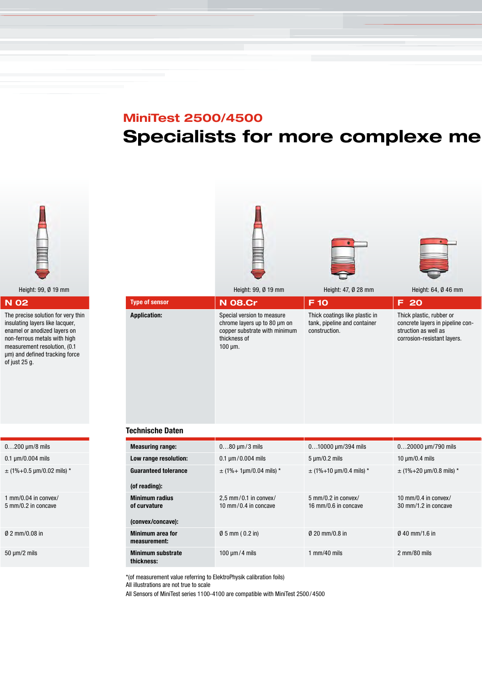## MiniTest 2500/4500 Specialists for more complexe me



#### N 02

The precise solution for very thin insulating layers like lacquer, enamel or anodized layers on non-ferrous metals with high measurement resolution, (0.1 μm) and defined tracking force of just 25 g.

0…200 µm/8 mils

0.1 µm/0.004 mils

 $±$  (1%+0.5 µm/0.02 mils) \*

1 mm/0.04 in convex/ 5 mm/0.2 in concave

Ø 2 mm/0.08 in

50 µm/2 mils



 $\pm$  (1%+ 1µm/0.04 mils) \*  $\pm$  (1%+10 µm/0.4 mils) \*  $\pm$  (1%+20 µm/0.8 mils) \*

5 mm/0.2 in convex/ 16 mm/0.6 in concave

Ø 5 mm ( 0.2 in) Ø 20 mm/0.8 in Ø 40 mm/1.6 in

100 µm / 4 mils 1 mm/40 mils 2 mm/80 mils

10 mm/0.4 in convex/ 30 mm/1.2 in concave

\*(of measurement value referring to ElektroPhysik calibration foils)

All illustrations are not true to scale

Guaranteed tolerance

(of reading):

Minimum radius of curvature

(convex/concave):

Minimum area for measurement:

Minimum substrate thickness:

All Sensors of MiniTest series 1100-4100 are compatible with MiniTest 2500 / 4500

2,5 mm / 0.1 in convex/ 10 mm / 0.4 in concave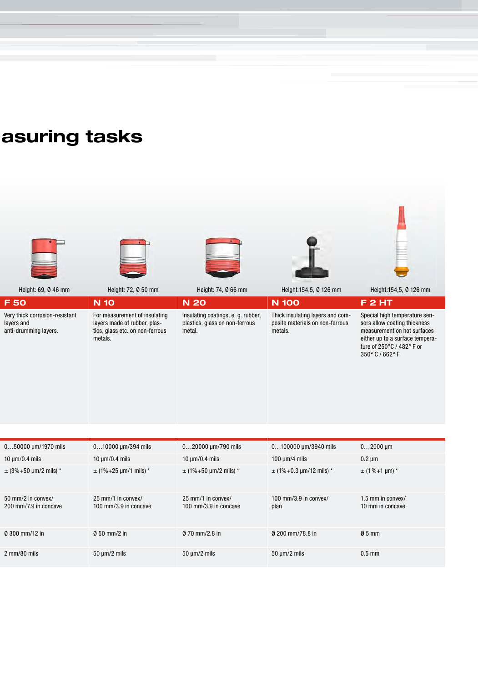## asuring tasks



2 mm/80 mils 50 µm/2 mils 50 µm/2 mils 50 µm/2 mils 0.5 mm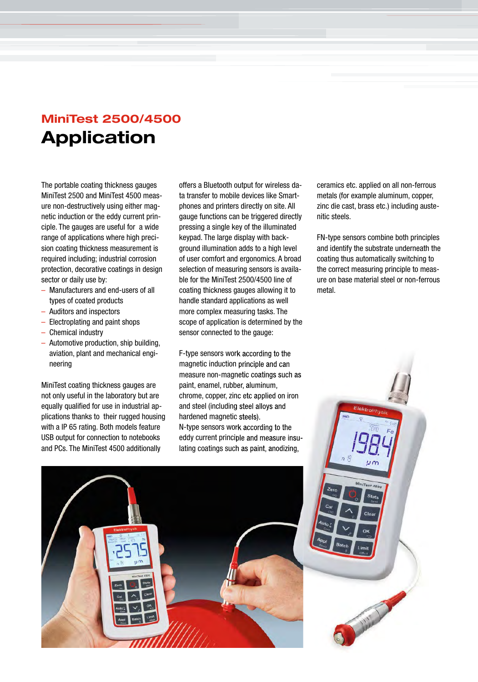### MiniTest 2500/4500 Application

The portable coating thickness gauges MiniTest 2500 and MiniTest 4500 measure non-destructively using either magnetic induction or the eddy current principle. The gauges are useful for a wide range of applications where high precision coating thickness measurement is required including; industrial corrosion protection, decorative coatings in design sector or daily use by:

- Manufacturers and end-users of all types of coated products
- Auditors and inspectors
- Electroplating and paint shops
- Chemical industry
- Automotive production, ship building, aviation, plant and mechanical engineering

MiniTest coating thickness gauges are not only useful in the laboratory but are equally qualified for use in industrial applications thanks to their rugged housing with a IP 65 rating. Both models feature USB output for connection to notebooks and PCs. The MiniTest 4500 additionally

offers a Bluetooth output for wireless data transfer to mobile devices like Smartphones and printers directly on site. All gauge functions can be triggered directly pressing a single key of the illuminated keypad. The large display with background illumination adds to a high level of user comfort and ergonomics. A broad selection of measuring sensors is available for the MiniTest 2500/4500 line of coating thickness gauges allowing it to handle standard applications as well more complex measuring tasks. The scope of application is determined by the sensor connected to the gauge:

F-type sensors work according to the magnetic induction principle and can measure non-magnetic coatings such as paint, enamel, rubber, aluminum, chrome, copper, zinc etc applied on iron and steel (including steel alloys and hardened magnetic steels). N-type sensors work according to the eddy current principle and measure insulating coatings such as paint, anodizing,

ceramics etc. applied on all non-ferrous metals (for example aluminum, copper, zinc die cast, brass etc.) including austenitic steels.

FN-type sensors combine both principles and identify the substrate underneath the coating thus automatically switching to the correct measuring principle to measure on base material steel or non-ferrous metal.